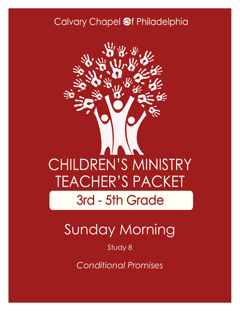### Calvary Chapel @f Philadelphia



# Sunday Morning

Study 8

*Conditional Promises*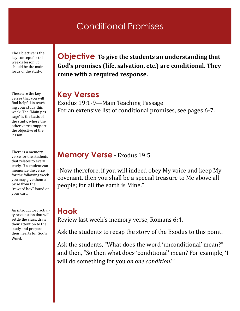### Conditional Promises

The Objective is the key concept for this week's lesson. It should be the main focus of the study.

These are the key verses that you will find helpful in teaching your study this week. The "Main passage" is the basis of the study, where the other verses support the objective of the lesson.

There is a memory verse for the students that relates to every study. If a student can memorize the verse for the following week you may give them a prize from the "reward box" found on your cart.

An introductory activity or question that will settle the class, draw their attention to the study and prepare their hearts for God's Word.

**Objective To give the students an understanding that God's promises (life, salvation, etc.) are conditional. They come with a required response.**

#### **Key Verses**

Exodus 19:1-9—Main Teaching Passage For an extensive list of conditional promises, see pages 6-7.

### **Memory Verse -** Exodus 19:5

"Now therefore, if you will indeed obey My voice and keep My covenant, then you shall be a special treasure to Me above all people; for all the earth is Mine."

### **Hook**

Review last week's memory verse, Romans 6:4.

Ask the students to recap the story of the Exodus to this point.

Ask the students, "What does the word 'unconditional' mean?" and then, "So then what does 'conditional' mean? For example, 'I will do something for you *on one condition*.'"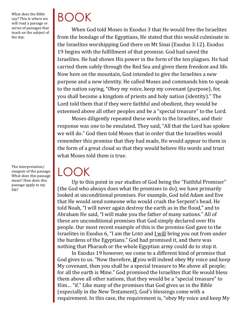What does the Bible say? This is where we will read a passage or series of passages that teach on the subject of the day.

The interpretation/ exegesis of the passage. What does this passage mean? How does this passage apply to my life?

# BOOK

When God told Moses in Exodus 3 that He would free the Israelites from the bondage of the Egyptians, He stated that this would culminate in the Israelites worshipping God there on Mt Sinai (Exodus 3:12). Exodus 19 begins with the fulfillment of that promise. God had saved the Israelites. He had shown His power in the form of the ten plagues. He had carried them safely through the Red Sea and given them freedom and life. Now here on the mountain, God intended to give the Israelites a new purpose and a new identity. He called Moses and commands him to speak to the nation saying, "Obey my voice, keep my covenant (purpose), for, you shall become a kingdom of priests and holy nation (identity)." The Lord told them that if they were faithful and obedient, they would be esteemed above all other peoples and be a "special treasure" to the Lord.

Moses diligently repeated these words to the Israelites, and their response was one to be emulated. They said, "All that the Lord has spoken we will do." God then told Moses that in order that the Israelites would remember this promise that they had made, He would appear to them in the form of a great cloud so that they would believe His words and trust what Moses told them is true.

 $\overline{\mathcal{L}}$ 

Up to this point in our studies of God being the "Faithful Promiser" (the God who always does what He promises to do), we have primarily looked at unconditional promises. For example, God told Adam and Eve that He would send someone who would crush the Serpent's head. He told Noah, "I will never again destroy the earth as in the flood," and to Abraham He said, "I will make you the father of many nations." All of these are unconditional promises that God simply declared over His people. Our most recent example of this is the promise God gave to the Israelites in Exodus 6, "I am the LORD and I will bring you out from under the burdens of the Egyptians." God had promised it, and there was nothing that Pharaoh or the whole Egyptian army could do to stop it.

In Exodus 19 however, we come to a different kind of promise that God gives to us. "Now therefore, **if** you will indeed obey My voice and keep My covenant, then you shall be a special treasure to Me above all people; for all the earth is Mine." God promised the Israelites that He would bless them above all other nations, that they would be a "special treasure" to Him… "if." Like many of the promises that God gives us in the Bible (especially in the New Testament), God's blessings come with a requirement. In this case, the requirement is, "obey My voice and keep My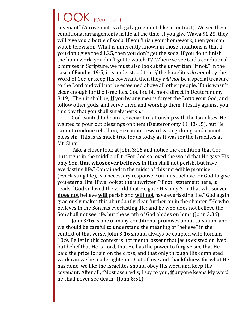## LOOK (Continued)

covenant" (A covenant is a legal agreement, like a contract). We see these conditional arrangements in life all the time. If you give Wawa \$1.25, they will give you a bottle of soda. If you finish your homework, then you can watch television. What is inherently known in those situations is that if you don't give the \$1.25, then you don't get the soda. If you don't finish the homework, you don't get to watch TV. When we see God's conditional promises in Scripture, we must also look at the unwritten "if not." In the case of Exodus 19:5, it is understood that *if* the Israelites *do not* obey the Word of God or keep His covenant, then they *will not* be a special treasure to the Lord and will not be esteemed above all other people. If this wasn't clear enough for the Israelites, God is a bit more direct in Deuteronomy 8:19, "Then it shall be, *if* you by any means forget the Lord your God, and follow other gods, and serve them and worship them, I testify against you this day that you shall surely perish."

God wanted to be in a covenant relationship with the Israelites. He wanted to pour out blessings on them (Deuteronomy 11:13-15), but He cannot condone rebellion, He cannot reward wrong-doing, and cannot bless sin. This is as much true for us today as it was for the Israelites at Mt. Sinai.

Take a closer look at John 3:16 and notice the condition that God puts right in the middle of it. "For God so loved the world that He gave His only Son, **that whosoever believes** in Him shall not perish, but have everlasting life." Contained in the midst of this incredible promise (everlasting life), is a necessary response. You must believe for God to give you eternal life. If we look at the unwritten "if not" statement here, it reads, "God so loved the world that He gave His only Son, that whosoever **does not** believe **will** perish and **will not** have everlasting life." God again graciously makes this abundantly clear further on in the chapter, "He who believes in the Son has everlasting life; and he who does not believe the Son shall not see life, but the wrath of God abides on him" (John 3:36).

John 3:16 is one of many conditional promises about salvation, and we should be careful to understand the meaning of "believe" in the context of that verse. John 3:16 should always be coupled with Romans 10:9. Belief in this context is not mental assent that Jesus existed or lived, but belief that He is Lord, that He has the power to forgive sin, that He paid the price for sin on the cross, and that only through His completed work can we be made righteous. Out of love and thankfulness for what He has done, we like the Israelites should obey His word and keep His covenant. After all, "Most assuredly, I say to you, **if** anyone keeps My word he shall never see death" (John 8:51).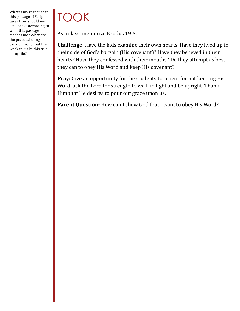What is my response to this passage of Scripture? How should my life change according to what this passage teaches me? What are the practical things I can do throughout the week to make this true in my life?

# TOOK

As a class, memorize Exodus 19:5.

**Challenge:** Have the kids examine their own hearts. Have they lived up to their side of God's bargain (His covenant)? Have they believed in their hearts? Have they confessed with their mouths? Do they attempt as best they can to obey His Word and keep His covenant?

Pray: Give an opportunity for the students to repent for not keeping His Word, ask the Lord for strength to walk in light and be upright. Thank Him that He desires to pour out grace upon us.

**Parent Question:** How can I show God that I want to obey His Word?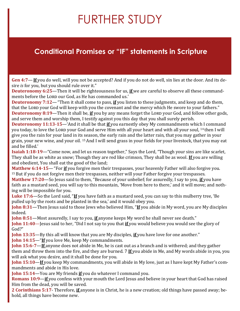# FURTHER STUDY

### **Conditional Promises or "IF" statements in Scripture**

**Gen 4:7**—**If** you do well, will you not be accepted? And if you do not do well, sin lies at the door. And its desire *is* for you, but you should rule over it."

**Deuteronomy 6:25**—Then it will be righteousness for us, **if** we are careful to observe all these commandments before the LORD our God, as He has commanded us.'

**Deuteronomy 7:12**—"Then it shall come to pass, **if** you listen to these judgments, and keep and do them, that the LORD your God will keep with you the covenant and the mercy which He swore to your fathers." **Deuteronomy 8:19—Then it shall be, if** you by any means forget the LORD your God, and follow other gods, and serve them and worship them, I testify against you this day that you shall surely perish.

**Deuteronomy 11:13-15**—'And it shall be that **if** you earnestly obey My commandments which I command you today, to love the LORD your God and serve Him with all your heart and with all your soul, <sup>14</sup> then I will give *you* the rain for your land in its season, the early rain and the latter rain, that you may gather in your grain, your new wine, and your oil. 15And I will send grass in your fields for your livestock, that you may eat and be filled.'

**Isaiah 1:18-19**—"Come now, and let us reason together," Says the Lord, "Though your sins are like scarlet, They shall be as white as snow; Though they are red like crimson, They shall be as wool. **If** you are willing and obedient, You shall eat the good of the land;

**Matthew 6:14-15**—"For **if** you forgive men their trespasses, your heavenly Father will also forgive you. <sup>15</sup> But if you do not forgive men their trespasses, neither will your Father forgive your trespasses.

**Matthew 17:20**—So Jesus said to them, "Because of your unbelief; for assuredly, I say to you, **if** you have faith as a mustard seed, you will say to this mountain, 'Move from here to there,' and it will move; and nothing will be impossible for you.

**Luke 17:6**—So the Lord said, "**If** you have faith as a mustard seed, you can say to this mulberry tree, 'Be pulled up by the roots and be planted in the sea,' and it would obey you.

**John 8:31**—Then Jesus said to those Jews who believed Him, "**If** you abide in My word, you are My disciples indeed.

**John 8:51**—Most assuredly, I say to you, **if** anyone keeps My word he shall never see death."

**John 11:40**—Jesus said to her, "Did I not say to you that **if** you would believe you would see the glory of God?"

**John 13:35**—By this all will know that you are My disciples, **if** you have love for one another."

**John 14:15—"If** you love Me, keep My commandments.

**John 15:6-7**—**If** anyone does not abide in Me, he is cast out as a branch and is withered; and they gather them and throw them into the fire, and they are burned. 7 **If** you abide in Me, and My words abide in you, you will ask what you desire, and it shall be done for you.

**John 15:10**—**If** you keep My commandments, you will abide in My love, just as I have kept My Father's commandments and abide in His love.

**John 15:14**—You are My friends **if** you do whatever I command you.

**Romans 10:9**—**if** you confess with your mouth the Lord Jesus and believe in your heart that God has raised Him from the dead, you will be saved.

**2 Corinthians 5:17**- Therefore, **if** anyone is in Christ, he is a new creation; old things have passed away; behold, all things have become new.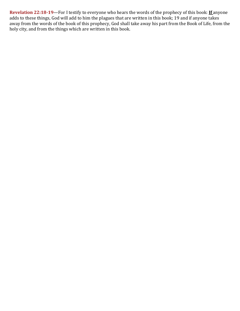**Revelation 22:18-19**—For I testify to everyone who hears the words of the prophecy of this book: **If** anyone adds to these things, God will add to him the plagues that are written in this book; 19 and if anyone takes away from the words of the book of this prophecy, God shall take away his part from the Book of Life, from the holy city, and from the things which are written in this book.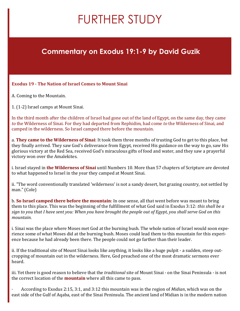## FURTHER STUDY

### **Commentary on Exodus 19:1-9 by David Guzik**

#### **Exodus 19 - The Nation of Israel Comes to Mount Sinai**

A. Coming to the Mountain.

1. (1-2) Israel camps at Mount Sinai.

In the third month after the children of Israel had gone out of the land of Egypt, on the same day, they came *to* the Wilderness of Sinai. For they had departed from Rephidim, had come *to* the Wilderness of Sinai, and camped in the wilderness. So Israel camped there before the mountain.

a. **They came to the Wilderness of Sinai**: It took them three months of trusting God to get to this place, but they finally arrived. They saw God's deliverance from Egypt, received His guidance on the way to go, saw His glorious victory at the Red Sea, received God's miraculous gifts of food and water, and they saw a prayerful victory won over the Amalekites.

i. Israel stayed in **the Wilderness of Sinai** until Numbers 10. More than 57 chapters of Scripture are devoted to what happened to Israel in the year they camped at Mount Sinai.

ii. "The word conventionally translated 'wilderness' is not a sandy desert, but grazing country, not settled by man." (Cole)

b. **So Israel camped there before the mountain**: In one sense, all that went before was meant to bring them to this place. This was the beginning of the fulfillment of what God said in Exodus 3:12: *this shall be a sign to you that I have sent you: When you have brought the people out of Egypt, you shall serve God on this mountain*.

i. Sinai was the place where Moses met God at the burning bush. The whole nation of Israel would soon experience some of what Moses did at the burning bush. Moses could lead them to this mountain for this experience because he had already been there. The people could not go farther than their leader.

ii. If the traditional site of Mount Sinai looks like anything, it looks like a huge pulpit - a sudden, steep outcropping of mountain out in the wilderness. Here, God preached one of the most dramatic sermons ever heard.

iii. Yet there is good reason to believe that the *traditional* site of Mount Sinai - on the Sinai Peninsula - is not the correct location of the **mountain** where all this came to pass.

· According to Exodus 2:15, 3:1, and 3:12 this mountain was in the region of *Midian*, which was on the east side of the Gulf of Aqaba, east of the Sinai Peninsula. The ancient land of Midian is in the modern nation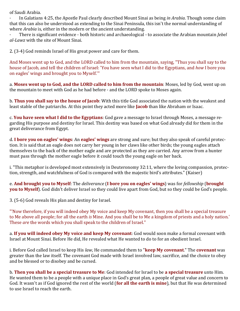of Saudi Arabia.

· In Galatians 4:25, the Apostle Paul clearly described Mount Sinai as being *in Arabia*. Though some claim that this can also be understood as extending to the Sinai Peninsula, this isn't the normal understanding of where *Arabia* is, either in the modern or the ancient understanding.

· There is significant evidence - both historic and archaeological - to associate the Arabian mountain *Jebel al-Lawz* with the site of Mount Sinai.

2. (3-4) God reminds Israel of His great power and care for them.

And Moses went up to God, and the LORD called to him from the mountain, saying, "Thus you shall say to the house of Jacob, and tell the children of Israel: 'You have seen what I did to the Egyptians, and *how* I bore you on eagles' wings and brought you to Myself.'"

a. **Moses went up to God, and the LORD called to him from the mountain**: Moses, led by God, went up on the mountain to meet with God as he had before - and the LORD spoke to Moses again.

b. **Thus you shall say to the house of Jacob**: With this title God associated the nation with the weakest and least stable of the patriarchs. At this point they acted more like **Jacob** than like Abraham or Isaac.

c. **You have seen what I did to the Egyptians**: God gave a message to Israel through Moses, a message regarding His purpose and destiny for Israel. This destiny was based on what God already did for them in the great deliverance from Egypt.

d. **I bore you on eagles' wings**: An **eagles' wings** are strong and sure; but they also speak of careful protection. It is said that an eagle does not carry her young in her claws like other birds; the young eagles attach themselves to the back of the mother eagle and are protected as they are carried. Any arrow from a hunter must pass through the mother eagle before it could touch the young eagle on her back.

i. "This metaphor is developed most extensively in Deuteronomy 32:11, where the loving compassion, protection, strength, and watchfulness of God is compared with the majestic bird's attributes." (Kaiser)

e. **And brought you to Myself**: The *deliverance* (**I bore you on eagles' wings**) was for *fellowship* (**brought you to Myself**). God didn't deliver Israel so they could live apart from God, but so they could be God's people.

3. (5-6) God reveals His plan and destiny for Israel.

"'Now therefore, if you will indeed obey My voice and keep My covenant, then you shall be a special treasure to Me above all people; for all the earth *is* Mine. And you shall be to Me a kingdom of priests and a holy nation.' These *are* the words which you shall speak to the children of Israel."

a. **If you will indeed obey My voice and keep My covenant**: God would soon make a formal covenant with Israel at Mount Sinai. Before He did, He revealed what He wanted to do to for an obedient Israel.

i. Before God called Israel to keep His *law*, He commanded them to "**keep My covenant**." The **covenant** was greater than the law itself. The covenant God made with Israel involved law, sacrifice, and the choice to obey and be blessed or to disobey and be cursed.

b. **Then you shall be a special treasure to Me**: God intended for Israel to be **a special treasure** unto Him. He wanted them to be a people with a unique place in God's great plan, a people of great value and concern to God. It wasn't as if God ignored the rest of the world (**for all the earth is mine**), but that He was determined to use Israel to reach the earth.